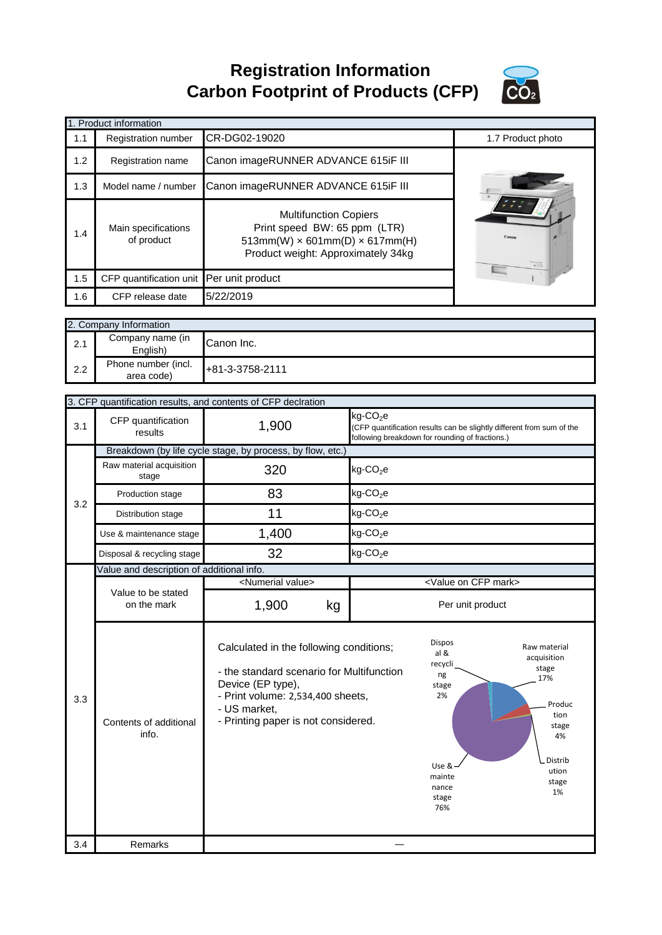**Registration Information Carbon Footprint of Products (CFP)**



| Registration number               |                                                                                                          |                                                                                                                                                                                           |                                                                                                                                                                                                                                                                                                                                           | 1.7 Product photo                                                                                                                                                                                                                                                         |
|-----------------------------------|----------------------------------------------------------------------------------------------------------|-------------------------------------------------------------------------------------------------------------------------------------------------------------------------------------------|-------------------------------------------------------------------------------------------------------------------------------------------------------------------------------------------------------------------------------------------------------------------------------------------------------------------------------------------|---------------------------------------------------------------------------------------------------------------------------------------------------------------------------------------------------------------------------------------------------------------------------|
| Registration name                 |                                                                                                          |                                                                                                                                                                                           |                                                                                                                                                                                                                                                                                                                                           |                                                                                                                                                                                                                                                                           |
| Model name / number               |                                                                                                          |                                                                                                                                                                                           |                                                                                                                                                                                                                                                                                                                                           |                                                                                                                                                                                                                                                                           |
| Main specifications<br>of product |                                                                                                          |                                                                                                                                                                                           |                                                                                                                                                                                                                                                                                                                                           |                                                                                                                                                                                                                                                                           |
| CFP quantification unit           | Per unit product                                                                                         |                                                                                                                                                                                           |                                                                                                                                                                                                                                                                                                                                           |                                                                                                                                                                                                                                                                           |
| CFP release date                  | 5/22/2019                                                                                                |                                                                                                                                                                                           |                                                                                                                                                                                                                                                                                                                                           |                                                                                                                                                                                                                                                                           |
|                                   |                                                                                                          |                                                                                                                                                                                           |                                                                                                                                                                                                                                                                                                                                           |                                                                                                                                                                                                                                                                           |
| Company name (in                  | Canon Inc.                                                                                               |                                                                                                                                                                                           |                                                                                                                                                                                                                                                                                                                                           |                                                                                                                                                                                                                                                                           |
| Phone number (incl.<br>area code) | +81-3-3758-2111                                                                                          |                                                                                                                                                                                           |                                                                                                                                                                                                                                                                                                                                           |                                                                                                                                                                                                                                                                           |
|                                   |                                                                                                          |                                                                                                                                                                                           |                                                                                                                                                                                                                                                                                                                                           |                                                                                                                                                                                                                                                                           |
|                                   |                                                                                                          |                                                                                                                                                                                           |                                                                                                                                                                                                                                                                                                                                           |                                                                                                                                                                                                                                                                           |
| results                           | 1,900                                                                                                    |                                                                                                                                                                                           |                                                                                                                                                                                                                                                                                                                                           |                                                                                                                                                                                                                                                                           |
|                                   |                                                                                                          |                                                                                                                                                                                           |                                                                                                                                                                                                                                                                                                                                           |                                                                                                                                                                                                                                                                           |
| Raw material acquisition<br>stage | 320                                                                                                      | $kg$ -CO <sub>2</sub> e                                                                                                                                                                   |                                                                                                                                                                                                                                                                                                                                           |                                                                                                                                                                                                                                                                           |
| Production stage                  | 83                                                                                                       | $kg$ -CO <sub>2</sub> e                                                                                                                                                                   |                                                                                                                                                                                                                                                                                                                                           |                                                                                                                                                                                                                                                                           |
| Distribution stage                | 11                                                                                                       | $kg$ -CO <sub>2</sub> e                                                                                                                                                                   |                                                                                                                                                                                                                                                                                                                                           |                                                                                                                                                                                                                                                                           |
| Use & maintenance stage           | 1,400                                                                                                    | $kg$ -CO <sub>2</sub> e                                                                                                                                                                   |                                                                                                                                                                                                                                                                                                                                           |                                                                                                                                                                                                                                                                           |
| Disposal & recycling stage        | 32                                                                                                       | $kg$ -CO <sub>2</sub> e                                                                                                                                                                   |                                                                                                                                                                                                                                                                                                                                           |                                                                                                                                                                                                                                                                           |
|                                   |                                                                                                          |                                                                                                                                                                                           |                                                                                                                                                                                                                                                                                                                                           |                                                                                                                                                                                                                                                                           |
|                                   | <numerial value=""></numerial>                                                                           |                                                                                                                                                                                           |                                                                                                                                                                                                                                                                                                                                           |                                                                                                                                                                                                                                                                           |
| on the mark                       | 1,900<br>kg                                                                                              |                                                                                                                                                                                           |                                                                                                                                                                                                                                                                                                                                           |                                                                                                                                                                                                                                                                           |
| Contents of additional<br>info.   | Device (EP type),<br>- US market,                                                                        |                                                                                                                                                                                           | Dispos<br>al &<br>recycli<br>ng<br>stage<br>2%<br>Use &<br>mainte                                                                                                                                                                                                                                                                         | Raw material<br>acquisition<br>stage<br>17%<br>Produc<br>tion<br>stage<br>4%<br>Distrib<br>ution                                                                                                                                                                          |
|                                   | 1. Product information<br>2. Company Information<br>English)<br>CFP quantification<br>Value to be stated | CR-DG02-19020<br>3. CFP quantification results, and contents of CFP declration<br>Breakdown (by life cycle stage, by process, by flow, etc.)<br>Value and description of additional info. | Canon imageRUNNER ADVANCE 615iF III<br>Canon imageRUNNER ADVANCE 615iF III<br><b>Multifunction Copiers</b><br>Print speed BW: 65 ppm (LTR)<br>$kg$ -CO <sub>2</sub> e<br>Calculated in the following conditions;<br>- the standard scenario for Multifunction<br>- Print volume: 2,534,400 sheets,<br>- Printing paper is not considered. | $513mm(W) \times 601mm(D) \times 617mm(H)$<br>Product weight: Approximately 34kg<br>(CFP quantification results can be slightly different from sum of the<br>following breakdown for rounding of fractions.)<br><value cfp="" mark="" on=""><br/>Per unit product</value> |

stage 76%

3.4 Remarks ―